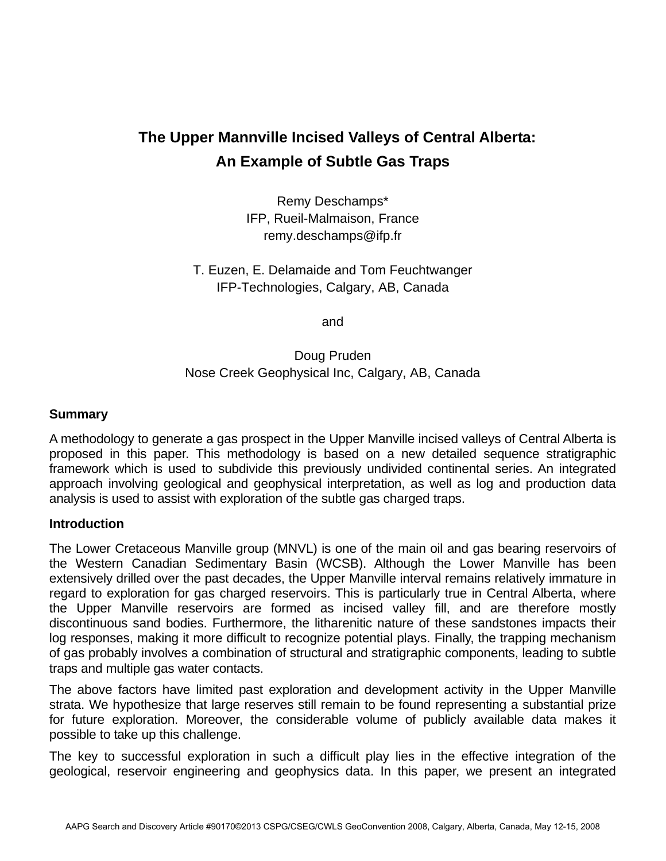# **The Upper Mannville Incised Valleys of Central Alberta: An Example of Subtle Gas Traps**

Remy Deschamps\* IFP, Rueil-Malmaison, France remy.deschamps@ifp.fr

T. Euzen, E. Delamaide and Tom Feuchtwanger IFP-Technologies, Calgary, AB, Canada

and

## Doug Pruden Nose Creek Geophysical Inc, Calgary, AB, Canada

#### **Summary**

A methodology to generate a gas prospect in the Upper Manville incised valleys of Central Alberta is proposed in this paper. This methodology is based on a new detailed sequence stratigraphic framework which is used to subdivide this previously undivided continental series. An integrated approach involving geological and geophysical interpretation, as well as log and production data analysis is used to assist with exploration of the subtle gas charged traps.

#### **Introduction**

The Lower Cretaceous Manville group (MNVL) is one of the main oil and gas bearing reservoirs of the Western Canadian Sedimentary Basin (WCSB). Although the Lower Manville has been extensively drilled over the past decades, the Upper Manville interval remains relatively immature in regard to exploration for gas charged reservoirs. This is particularly true in Central Alberta, where the Upper Manville reservoirs are formed as incised valley fill, and are therefore mostly discontinuous sand bodies. Furthermore, the litharenitic nature of these sandstones impacts their log responses, making it more difficult to recognize potential plays. Finally, the trapping mechanism of gas probably involves a combination of structural and stratigraphic components, leading to subtle traps and multiple gas water contacts.

The above factors have limited past exploration and development activity in the Upper Manville strata. We hypothesize that large reserves still remain to be found representing a substantial prize for future exploration. Moreover, the considerable volume of publicly available data makes it possible to take up this challenge.

The key to successful exploration in such a difficult play lies in the effective integration of the geological, reservoir engineering and geophysics data. In this paper, we present an integrated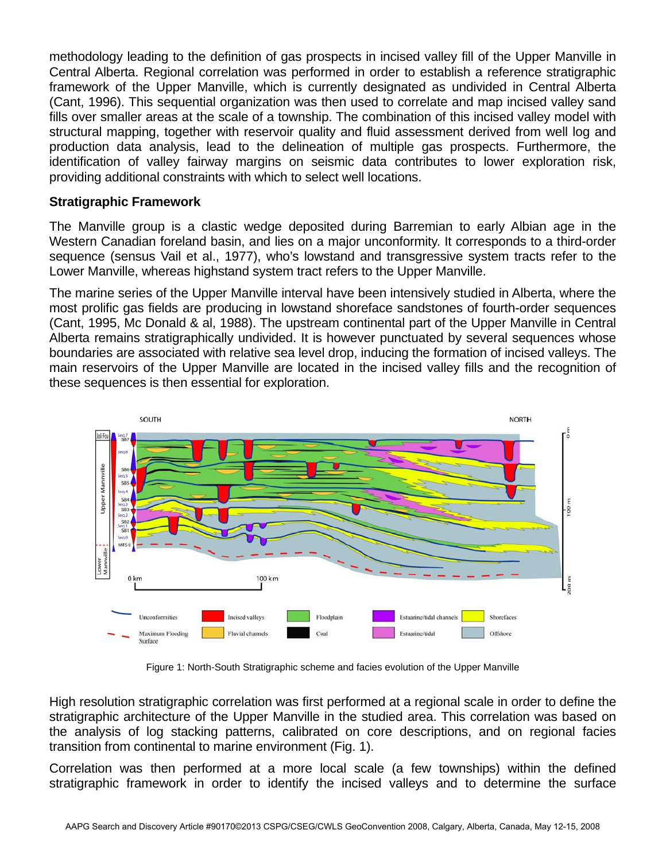methodology leading to the definition of gas prospects in incised valley fill of the Upper Manville in Central Alberta. Regional correlation was performed in order to establish a reference stratigraphic framework of the Upper Manville, which is currently designated as undivided in Central Alberta (Cant, 1996). This sequential organization was then used to correlate and map incised valley sand fills over smaller areas at the scale of a township. The combination of this incised valley model with structural mapping, together with reservoir quality and fluid assessment derived from well log and production data analysis, lead to the delineation of multiple gas prospects. Furthermore, the identification of valley fairway margins on seismic data contributes to lower exploration risk, providing additional constraints with which to select well locations.

#### **Stratigraphic Framework**

The Manville group is a clastic wedge deposited during Barremian to early Albian age in the Western Canadian foreland basin, and lies on a major unconformity. It corresponds to a third-order sequence (sensus Vail et al., 1977), who's lowstand and transgressive system tracts refer to the Lower Manville, whereas highstand system tract refers to the Upper Manville.

The marine series of the Upper Manville interval have been intensively studied in Alberta, where the most prolific gas fields are producing in lowstand shoreface sandstones of fourth-order sequences (Cant, 1995, Mc Donald & al, 1988). The upstream continental part of the Upper Manville in Central Alberta remains stratigraphically undivided. It is however punctuated by several sequences whose boundaries are associated with relative sea level drop, inducing the formation of incised valleys. The main reservoirs of the Upper Manville are located in the incised valley fills and the recognition of these sequences is then essential for exploration.



Figure 1: North-South Stratigraphic scheme and facies evolution of the Upper Manville

High resolution stratigraphic correlation was first performed at a regional scale in order to define the stratigraphic architecture of the Upper Manville in the studied area. This correlation was based on the analysis of log stacking patterns, calibrated on core descriptions, and on regional facies transition from continental to marine environment (Fig. 1).

Correlation was then performed at a more local scale (a few townships) within the defined stratigraphic framework in order to identify the incised valleys and to determine the surface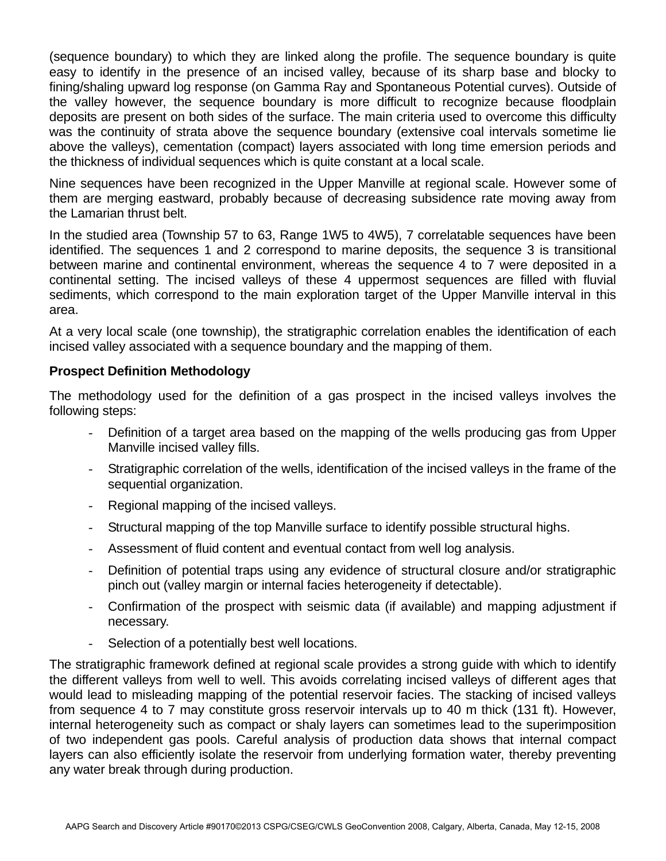(sequence boundary) to which they are linked along the profile. The sequence boundary is quite easy to identify in the presence of an incised valley, because of its sharp base and blocky to fining/shaling upward log response (on Gamma Ray and Spontaneous Potential curves). Outside of the valley however, the sequence boundary is more difficult to recognize because floodplain deposits are present on both sides of the surface. The main criteria used to overcome this difficulty was the continuity of strata above the sequence boundary (extensive coal intervals sometime lie above the valleys), cementation (compact) layers associated with long time emersion periods and the thickness of individual sequences which is quite constant at a local scale.

Nine sequences have been recognized in the Upper Manville at regional scale. However some of them are merging eastward, probably because of decreasing subsidence rate moving away from the Lamarian thrust belt.

In the studied area (Township 57 to 63, Range 1W5 to 4W5), 7 correlatable sequences have been identified. The sequences 1 and 2 correspond to marine deposits, the sequence 3 is transitional between marine and continental environment, whereas the sequence 4 to 7 were deposited in a continental setting. The incised valleys of these 4 uppermost sequences are filled with fluvial sediments, which correspond to the main exploration target of the Upper Manville interval in this area.

At a very local scale (one township), the stratigraphic correlation enables the identification of each incised valley associated with a sequence boundary and the mapping of them.

### **Prospect Definition Methodology**

The methodology used for the definition of a gas prospect in the incised valleys involves the following steps:

- Definition of a target area based on the mapping of the wells producing gas from Upper Manville incised valley fills.
- Stratigraphic correlation of the wells, identification of the incised valleys in the frame of the sequential organization.
- Regional mapping of the incised valleys.
- Structural mapping of the top Manville surface to identify possible structural highs.
- Assessment of fluid content and eventual contact from well log analysis.
- Definition of potential traps using any evidence of structural closure and/or stratigraphic pinch out (valley margin or internal facies heterogeneity if detectable).
- Confirmation of the prospect with seismic data (if available) and mapping adjustment if necessary.
- Selection of a potentially best well locations.

The stratigraphic framework defined at regional scale provides a strong guide with which to identify the different valleys from well to well. This avoids correlating incised valleys of different ages that would lead to misleading mapping of the potential reservoir facies. The stacking of incised valleys from sequence 4 to 7 may constitute gross reservoir intervals up to 40 m thick (131 ft). However, internal heterogeneity such as compact or shaly layers can sometimes lead to the superimposition of two independent gas pools. Careful analysis of production data shows that internal compact layers can also efficiently isolate the reservoir from underlying formation water, thereby preventing any water break through during production.